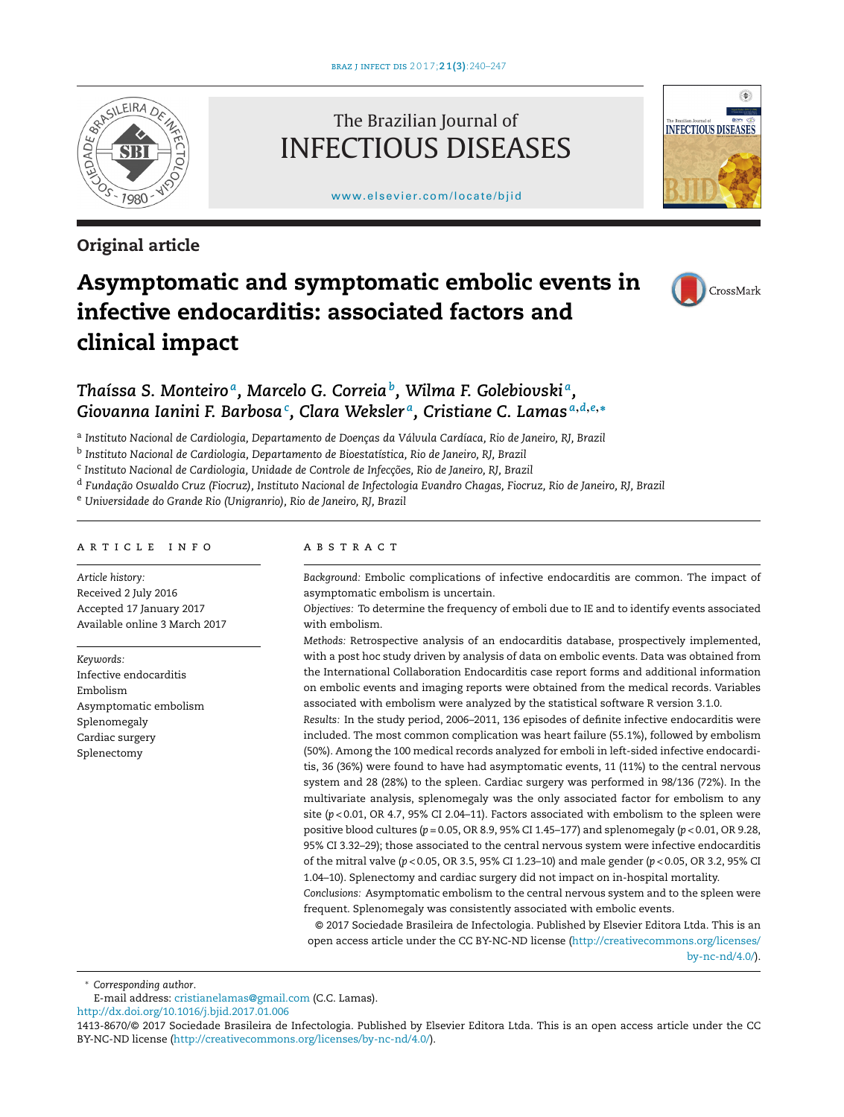

# **Original article**

# The Brazilian Journal of INFECTIOUS DISEASES

[www.elsevier.com/locate/bjid](http://www.elsevier.com/locate/bjid)



# **Asymptomatic and symptomatic embolic events in infective endocarditis: associated factors and clinical impact**



# *Thaíssa S. Monteiro a, Marcelo G. Correiab, Wilma F. Golebiovski a, Giovanna Ianini F. Barbosa<sup>c</sup> , Clara Weksler a, Cristiane C. Lamas <sup>a</sup>***,***d***,***e***,<sup>∗</sup>**

<sup>a</sup> *Instituto Nacional de Cardiologia, Departamento de Doenc¸as da Válvula Cardíaca, Rio de Janeiro, RJ, Brazil*

<sup>b</sup> *Instituto Nacional de Cardiologia, Departamento de Bioestatística, Rio de Janeiro, RJ, Brazil*

<sup>c</sup> *Instituto Nacional de Cardiologia, Unidade de Controle de Infecc¸ões, Rio de Janeiro, RJ, Brazil*

<sup>d</sup> Fundação Oswaldo Cruz (Fiocruz), Instituto Nacional de Infectologia Evandro Chagas, Fiocruz, Rio de Janeiro, RJ, Brazil

<sup>e</sup> *Universidade do Grande Rio (Unigranrio), Rio de Janeiro, RJ, Brazil*

# a r t i c l e i n f o

*Article history:* Received 2 July 2016 Accepted 17 January 2017 Available online 3 March 2017

*Keywords:* Infective endocarditis Embolism Asymptomatic embolism Splenomegaly Cardiac surgery Splenectomy

## a b s t r a c t

*Background:* Embolic complications of infective endocarditis are common. The impact of asymptomatic embolism is uncertain.

*Objectives:* To determine the frequency of emboli due to IE and to identify events associated with embolism.

*Methods:* Retrospective analysis of an endocarditis database, prospectively implemented, with a post hoc study driven by analysis of data on embolic events. Data was obtained from the International Collaboration Endocarditis case report forms and additional information on embolic events and imaging reports were obtained from the medical records. Variables associated with embolism were analyzed by the statistical software R version 3.1.0.

*Results:* In the study period, 2006–2011, 136 episodes of definite infective endocarditis were included. The most common complication was heart failure (55.1%), followed by embolism (50%). Among the 100 medical records analyzed for emboli in left-sided infective endocarditis, 36 (36%) were found to have had asymptomatic events, 11 (11%) to the central nervous system and 28 (28%) to the spleen. Cardiac surgery was performed in 98/136 (72%). In the multivariate analysis, splenomegaly was the only associated factor for embolism to any site  $(p<0.01,$  OR 4.7, 95% CI 2.04–11). Factors associated with embolism to the spleen were positive blood cultures (*p* = 0.05, OR 8.9, 95% CI 1.45–177) and splenomegaly (*p* < 0.01, OR 9.28, 95% CI 3.32–29); those associated to the central nervous system were infective endocarditis of the mitral valve (*p* < 0.05, OR 3.5, 95% CI 1.23–10) and male gender (*p* < 0.05, OR 3.2, 95% CI 1.04–10). Splenectomy and cardiac surgery did not impact on in-hospital mortality.

*Conclusions:* Asymptomatic embolism to the central nervous system and to the spleen were frequent. Splenomegaly was consistently associated with embolic events.

© 2017 Sociedade Brasileira de Infectologia. Published by Elsevier Editora Ltda. This is an open access article under the CC BY-NC-ND license ([http://creativecommons.org/licenses/](http://creativecommons.org/licenses/by-nc-nd/4.0/) [by-nc-nd/4.0/](http://creativecommons.org/licenses/by-nc-nd/4.0/)).

∗ *Corresponding author*.

E-mail address: [cristianelamas@gmail.com](mailto:cristianelamas@gmail.com) (C.C. Lamas).

[http://dx.doi.org/10.1016/j.bjid.2017.01.006](dx.doi.org/10.1016/j.bjid.2017.01.006)

<sup>1413-8670/©</sup> 2017 Sociedade Brasileira de Infectologia. Published by Elsevier Editora Ltda. This is an open access article under the CC BY-NC-ND license [\(http://creativecommons.org/licenses/by-nc-nd/4.0/](http://creativecommons.org/licenses/by-nc-nd/4.0/)).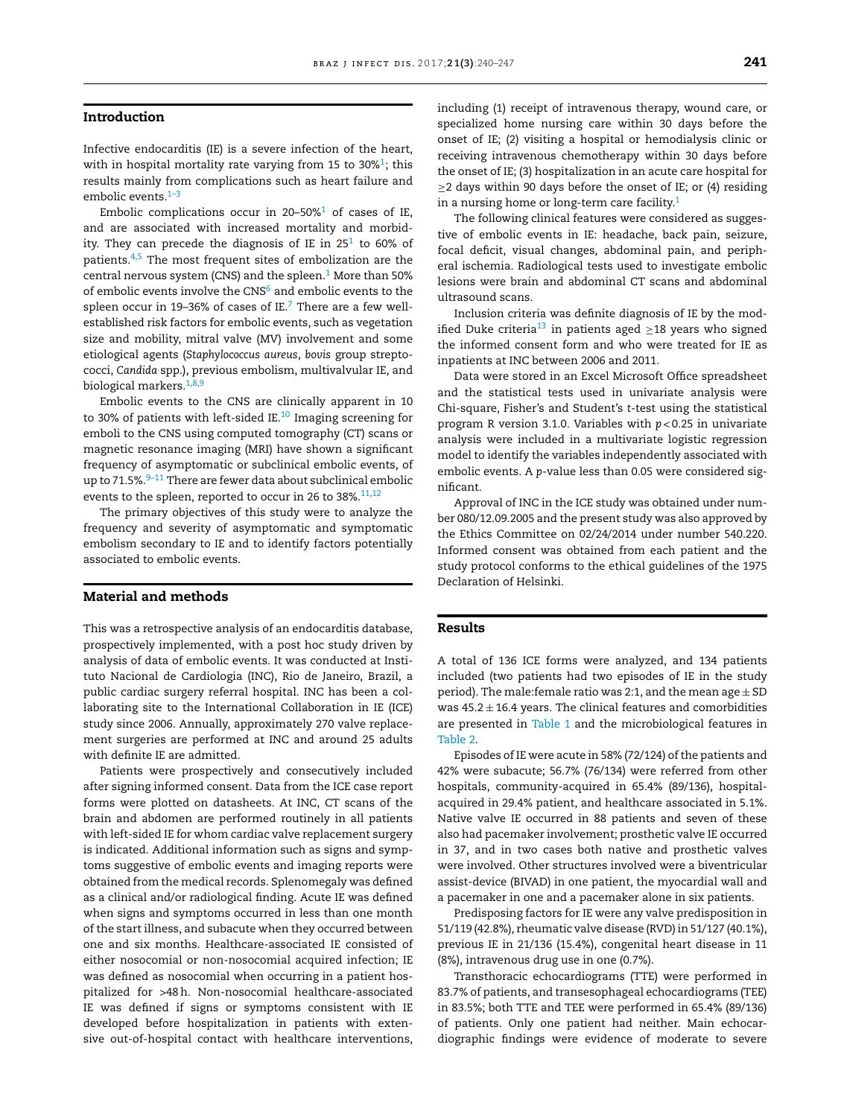### **Introduction**

Infective endocarditis (IE) is a severe infection of the heart, with in hospital mortality rate varying from 15 to 30% $^1$ ; this results mainly from complications such as heart failure and embolic events.<sup>1-3</sup>

Embolic complications occur in 20–50% $1$  of cases of IE, and are associated with increased mortality and morbidity. They can precede the diagnosis of IE in  $25<sup>1</sup>$  to 60% of patients[.4,5](#page-7-0) The most frequent sites of embolization are the central nervous system (CNS) and the spleen. $1$  [M](#page-7-0)ore than 50% of embolic events involve the  $CNS<sup>6</sup>$  and embolic events to the spleen occur in 19-36% of cases of IE.<sup>7</sup> There are a few wellestablished risk factors for embolic events, such as vegetation size and mobility, mitral valve (MV) involvement and some etiological agents (*Staphylococcus aureus*, *bovis* group streptococci, *Candida* spp.), previous embolism, multivalvular IE, and biological markers.<sup>1,8,9</sup>

Embolic events to the CNS are clinically apparent in 10 to 30% of patients with left-sided IE.<sup>10</sup> Imaging screening for emboli to the CNS using computed tomography (CT) scans or magnetic resonance imaging (MRI) have shown a significant frequency of asymptomatic or subclinical embolic events, of up to 71.5%. $9-11$  There are fewer data about subclinical embolic events to the spleen, reported to occur in 26 to 38%. $11,12$ 

The primary objectives of this study were to analyze the frequency and severity of asymptomatic and symptomatic embolism secondary to IE and to identify factors potentially associated to embolic events.

# **Material and methods**

This was a retrospective analysis of an endocarditis database, prospectively implemented, with a post hoc study driven by analysis of data of embolic events. It was conducted at Instituto Nacional de Cardiologia (INC), Rio de Janeiro, Brazil, a public cardiac surgery referral hospital. INC has been a collaborating site to the International Collaboration in IE (ICE) study since 2006. Annually, approximately 270 valve replacement surgeries are performed at INC and around 25 adults with definite IE are admitted.

Patients were prospectively and consecutively included after signing informed consent. Data from the ICE case report forms were plotted on datasheets. At INC, CT scans of the brain and abdomen are performed routinely in all patients with left-sided IE for whom cardiac valve replacement surgery is indicated. Additional information such as signs and symptoms suggestive of embolic events and imaging reports were obtained from the medical records. Splenomegaly was defined as a clinical and/or radiological finding. Acute IE was defined when signs and symptoms occurred in less than one month of the start illness, and subacute when they occurred between one and six months. Healthcare-associated IE consisted of either nosocomial or non-nosocomial acquired infection; IE was defined as nosocomial when occurring in a patient hospitalized for >48h. Non-nosocomial healthcare-associated IE was defined if signs or symptoms consistent with IE developed before hospitalization in patients with extensive out-of-hospital contact with healthcare interventions, including (1) receipt of intravenous therapy, wound care, or specialized home nursing care within 30 days before the onset of IE; (2) visiting a hospital or hemodialysis clinic or receiving intravenous chemotherapy within 30 days before the onset of IE; (3) hospitalization in an acute care hospital for  $\geq$  2 days within 90 days before the onset of IE; or (4) residing in a nursing home or long-term care facility.<sup>1</sup>

The following clinical features were considered as suggestive of embolic events in IE: headache, back pain, seizure, focal deficit, visual changes, abdominal pain, and peripheral ischemia. Radiological tests used to investigate embolic lesions were brain and abdominal CT scans and abdominal ultrasound scans.

Inclusion criteria was definite diagnosis of IE by the modified Duke criteria<sup>13</sup> in patients aged  $\geq$ 18 years who signed the informed consent form and who were treated for IE as inpatients at INC between 2006 and 2011.

Data were stored in an Excel Microsoft Office spreadsheet and the statistical tests used in univariate analysis were Chi-square, Fisher's and Student's *t*-test using the statistical program R version 3.1.0. Variables with *p* < 0.25 in univariate analysis were included in a multivariate logistic regression model to identify the variables independently associated with embolic events. A *p*-value less than 0.05 were considered significant.

Approval of INC in the ICE study was obtained under number 080/12.09.2005 and the present study was also approved by the Ethics Committee on 02/24/2014 under number 540.220. Informed consent was obtained from each patient and the study protocol conforms to the ethical guidelines of the 1975 Declaration of Helsinki.

#### **Results**

A total of 136 ICE forms were analyzed, and 134 patients included (two patients had two episodes of IE in the study period). The male: female ratio was 2:1, and the mean age  $\pm$  SD was  $45.2 \pm 16.4$  years. The clinical features and comorbidities are presented in [Table](#page-2-0) 1 and the microbiological features in [Table](#page-2-0) 2.

Episodes of IE were acute in 58% (72/124) of the patients and 42% were subacute; 56.7% (76/134) were referred from other hospitals, community-acquired in 65.4% (89/136), hospitalacquired in 29.4% patient, and healthcare associated in 5.1%. Native valve IE occurred in 88 patients and seven of these also had pacemaker involvement; prosthetic valve IE occurred in 37, and in two cases both native and prosthetic valves were involved. Other structures involved were a biventricular assist-device (BIVAD) in one patient, the myocardial wall and a pacemaker in one and a pacemaker alone in six patients.

Predisposing factors for IE were any valve predisposition in 51/119 (42.8%), rheumatic valve disease (RVD) in 51/127 (40.1%), previous IE in 21/136 (15.4%), congenital heart disease in 11 (8%), intravenous drug use in one (0.7%).

Transthoracic echocardiograms (TTE) were performed in 83.7% of patients, and transesophageal echocardiograms (TEE) in 83.5%; both TTE and TEE were performed in 65.4% (89/136) of patients. Only one patient had neither. Main echocardiographic findings were evidence of moderate to severe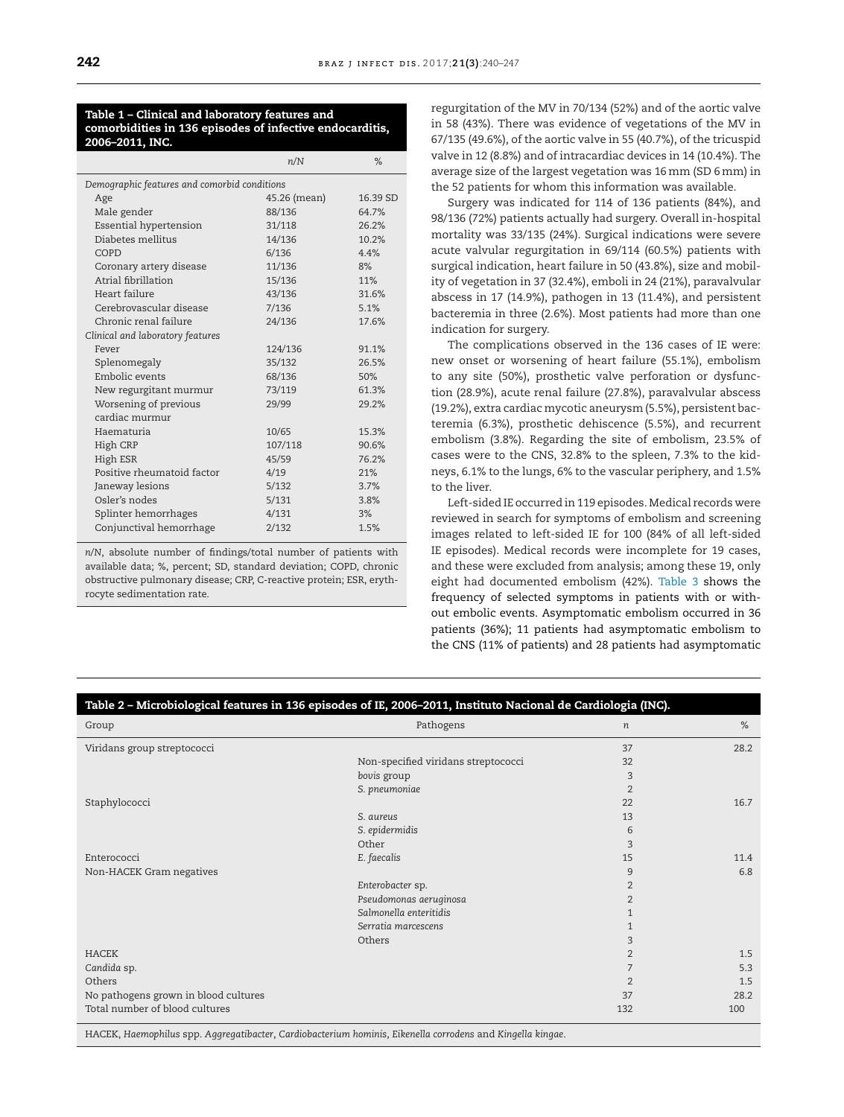#### <span id="page-2-0"></span>**Table 1 – Clinical and laboratory features and comorbidities in 136 episodes of infective endocarditis, 2006–2011, INC.**

|                                              | %        |  |  |  |  |  |  |  |
|----------------------------------------------|----------|--|--|--|--|--|--|--|
| Demographic features and comorbid conditions |          |  |  |  |  |  |  |  |
| 45.26 (mean)                                 | 16.39 SD |  |  |  |  |  |  |  |
| 88/136                                       | 64.7%    |  |  |  |  |  |  |  |
| 31/118                                       | 26.2%    |  |  |  |  |  |  |  |
| 14/136                                       | 10.2%    |  |  |  |  |  |  |  |
| 6/136                                        | 4.4%     |  |  |  |  |  |  |  |
| 11/136                                       | 8%       |  |  |  |  |  |  |  |
| 15/136                                       | 11%      |  |  |  |  |  |  |  |
| 43/136                                       | 31.6%    |  |  |  |  |  |  |  |
| 7/136                                        | 5.1%     |  |  |  |  |  |  |  |
| 24/136                                       | 17.6%    |  |  |  |  |  |  |  |
|                                              |          |  |  |  |  |  |  |  |
| 124/136                                      | 91.1%    |  |  |  |  |  |  |  |
| 35/132                                       | 26.5%    |  |  |  |  |  |  |  |
| 68/136                                       | 50%      |  |  |  |  |  |  |  |
| 73/119                                       | 61.3%    |  |  |  |  |  |  |  |
| 29/99                                        | 29.2%    |  |  |  |  |  |  |  |
|                                              |          |  |  |  |  |  |  |  |
| 10/65                                        | 15.3%    |  |  |  |  |  |  |  |
| 107/118                                      | 90.6%    |  |  |  |  |  |  |  |
| 45/59                                        | 76.2%    |  |  |  |  |  |  |  |
| 4/19                                         | 21%      |  |  |  |  |  |  |  |
| 5/132                                        | 3.7%     |  |  |  |  |  |  |  |
| 5/131                                        | 3.8%     |  |  |  |  |  |  |  |
| 4/131                                        | 3%       |  |  |  |  |  |  |  |
| 2/132                                        | 1.5%     |  |  |  |  |  |  |  |
|                                              | n/N      |  |  |  |  |  |  |  |

*n*/*N*, absolute number of findings/total number of patients with available data; %, percent; SD, standard deviation; COPD, chronic obstructive pulmonary disease; CRP, C-reactive protein; ESR, erythrocyte sedimentation rate.

regurgitation of the MV in 70/134 (52%) and of the aortic valve in 58 (43%). There was evidence of vegetations of the MV in 67/135 (49.6%), of the aortic valve in 55 (40.7%), of the tricuspid valve in 12 (8.8%) and of intracardiac devices in 14 (10.4%). The average size of the largest vegetation was 16mm (SD 6mm) in the 52 patients for whom this information was available.

Surgery was indicated for 114 of 136 patients (84%), and 98/136 (72%) patients actually had surgery. Overall in-hospital mortality was 33/135 (24%). Surgical indications were severe acute valvular regurgitation in 69/114 (60.5%) patients with surgical indication, heart failure in 50 (43.8%), size and mobility of vegetation in 37 (32.4%), emboli in 24 (21%), paravalvular abscess in 17 (14.9%), pathogen in 13 (11.4%), and persistent bacteremia in three (2.6%). Most patients had more than one indication for surgery.

The complications observed in the 136 cases of IE were: new onset or worsening of heart failure (55.1%), embolism to any site (50%), prosthetic valve perforation or dysfunction (28.9%), acute renal failure (27.8%), paravalvular abscess (19.2%), extra cardiac mycotic aneurysm (5.5%), persistent bacteremia (6.3%), prosthetic dehiscence (5.5%), and recurrent embolism (3.8%). Regarding the site of embolism, 23.5% of cases were to the CNS, 32.8% to the spleen, 7.3% to the kidneys, 6.1% to the lungs, 6% to the vascular periphery, and 1.5% to the liver.

Left-sided IE occurred in 119 episodes. Medical records were reviewed in search for symptoms of embolism and screening images related to left-sided IE for 100 (84% of all left-sided IE episodes). Medical records were incomplete for 19 cases, and these were excluded from analysis; among these 19, only eight had documented embolism (42%). [Table](#page-3-0) 3 shows the frequency of selected symptoms in patients with or without embolic events. Asymptomatic embolism occurred in 36 patients (36%); 11 patients had asymptomatic embolism to the CNS (11% of patients) and 28 patients had asymptomatic

| Table 2 - Microbiological features in 136 episodes of IE, 2006-2011, Instituto Nacional de Cardiologia (INC). |                                     |                  |      |  |  |  |  |  |
|---------------------------------------------------------------------------------------------------------------|-------------------------------------|------------------|------|--|--|--|--|--|
| Group                                                                                                         | Pathogens                           | $\boldsymbol{n}$ | %    |  |  |  |  |  |
| Viridans group streptococci                                                                                   |                                     | 37               | 28.2 |  |  |  |  |  |
|                                                                                                               | Non-specified viridans streptococci | 32               |      |  |  |  |  |  |
|                                                                                                               | bovis group                         | 3                |      |  |  |  |  |  |
|                                                                                                               | S. pneumoniae                       | $\overline{2}$   |      |  |  |  |  |  |
| Staphylococci                                                                                                 |                                     | 22               | 16.7 |  |  |  |  |  |
|                                                                                                               | S. aureus                           | 13               |      |  |  |  |  |  |
|                                                                                                               | S. epidermidis                      | 6                |      |  |  |  |  |  |
|                                                                                                               | Other                               | 3                |      |  |  |  |  |  |
| Enterococci                                                                                                   | E. faecalis                         | 15               | 11.4 |  |  |  |  |  |
| Non-HACEK Gram negatives                                                                                      |                                     | 9                | 6.8  |  |  |  |  |  |
|                                                                                                               | Enterobacter sp.                    | $\overline{2}$   |      |  |  |  |  |  |
|                                                                                                               | Pseudomonas aeruginosa              | $\overline{2}$   |      |  |  |  |  |  |
|                                                                                                               | Salmonella enteritidis              |                  |      |  |  |  |  |  |
|                                                                                                               | Serratia marcescens                 |                  |      |  |  |  |  |  |
|                                                                                                               | Others                              | 3                |      |  |  |  |  |  |
| <b>HACEK</b>                                                                                                  |                                     | $\overline{2}$   | 1.5  |  |  |  |  |  |
| Candida sp.                                                                                                   |                                     | 7                | 5.3  |  |  |  |  |  |
| Others                                                                                                        |                                     | $\overline{2}$   | 1.5  |  |  |  |  |  |
| No pathogens grown in blood cultures                                                                          |                                     | 37               | 28.2 |  |  |  |  |  |
| Total number of blood cultures                                                                                |                                     | 132              | 100  |  |  |  |  |  |

HACEK, *Haemophilus* spp. *Aggregatibacter*, *Cardiobacterium hominis*, *Eikenella corrodens* and *Kingella kingae*.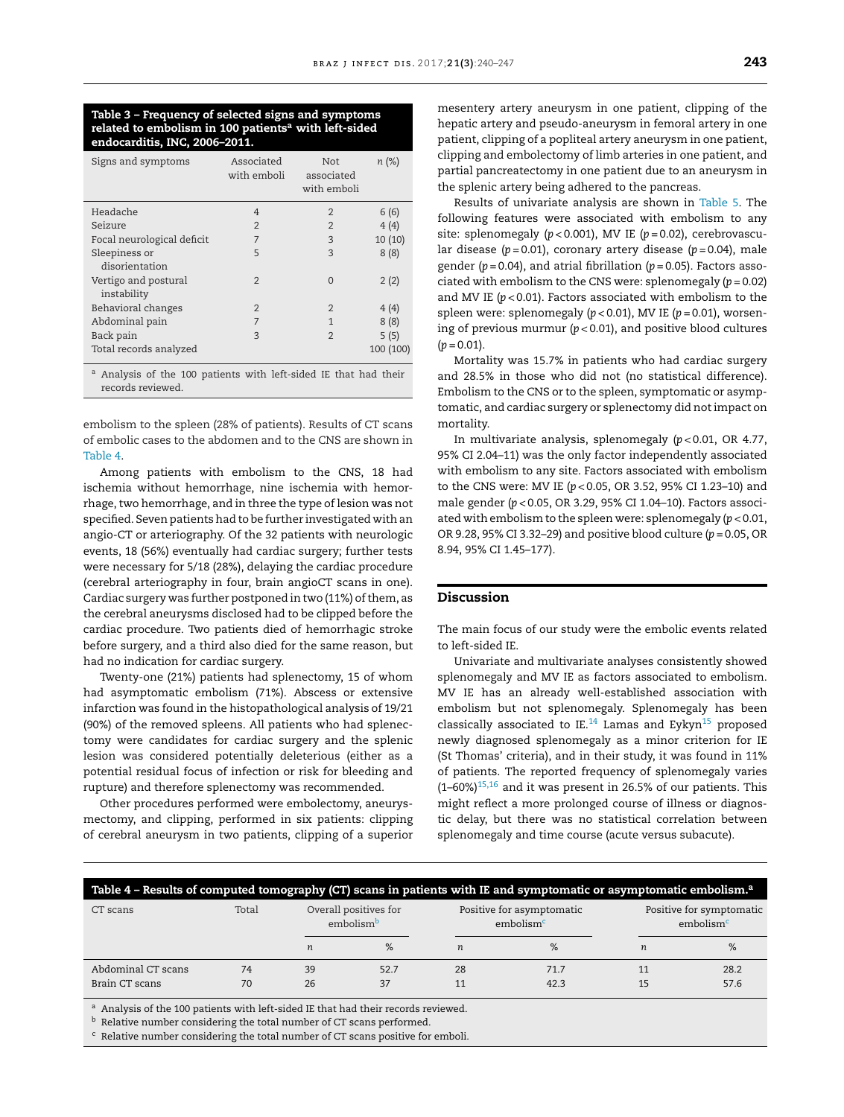#### <span id="page-3-0"></span>**Table 3 – Frequency of selected signs and symptoms related to embolism in 100 patientsa with left-sided endocarditis, INC, 2006–2011.**

| Signs and symptoms                  | Associated<br>with emboli | Not.<br>associated<br>with emboli | n (%)     |
|-------------------------------------|---------------------------|-----------------------------------|-----------|
| Headache                            | 4                         | $\overline{2}$                    | 6(6)      |
| Seizure                             | $\overline{2}$            | $\overline{2}$                    | 4(4)      |
| Focal neurological deficit          | 7                         | 3                                 | 10 (10)   |
| Sleepiness or<br>disorientation     | 5                         | 3                                 | 8(8)      |
| Vertigo and postural<br>instability | $\overline{2}$            | $\Omega$                          | 2(2)      |
| Behavioral changes                  | $\overline{2}$            | $\overline{2}$                    | 4(4)      |
| Abdominal pain                      | 7                         | 1                                 | 8(8)      |
| Back pain                           | $\mathcal{L}$             | $\overline{2}$                    | 5(5)      |
| Total records analyzed              |                           |                                   | 100 (100) |

<sup>a</sup> Analysis of the 100 patients with left-sided IE that had their records reviewed.

embolism to the spleen (28% of patients). Results of CT scans of embolic cases to the abdomen and to the CNS are shown in Table 4.

Among patients with embolism to the CNS, 18 had ischemia without hemorrhage, nine ischemia with hemorrhage, two hemorrhage, and in three the type of lesion was not specified. Seven patients had to be further investigated with an angio-CT or arteriography. Of the 32 patients with neurologic events, 18 (56%) eventually had cardiac surgery; further tests were necessary for 5/18 (28%), delaying the cardiac procedure (cerebral arteriography in four, brain angioCT scans in one). Cardiac surgery was further postponed in two (11%) of them, as the cerebral aneurysms disclosed had to be clipped before the cardiac procedure. Two patients died of hemorrhagic stroke before surgery, and a third also died for the same reason, but had no indication for cardiac surgery.

Twenty-one (21%) patients had splenectomy, 15 of whom had asymptomatic embolism (71%). Abscess or extensive infarction was found in the histopathological analysis of 19/21 (90%) of the removed spleens. All patients who had splenectomy were candidates for cardiac surgery and the splenic lesion was considered potentially deleterious (either as a potential residual focus of infection or risk for bleeding and rupture) and therefore splenectomy was recommended.

Other procedures performed were embolectomy, aneurysmectomy, and clipping, performed in six patients: clipping of cerebral aneurysm in two patients, clipping of a superior

mesentery artery aneurysm in one patient, clipping of the hepatic artery and pseudo-aneurysm in femoral artery in one patient, clipping of a popliteal artery aneurysm in one patient, clipping and embolectomy of limb arteries in one patient, and partial pancreatectomy in one patient due to an aneurysm in the splenic artery being adhered to the pancreas.

Results of univariate analysis are shown in [Table](#page-4-0) 5. The following features were associated with embolism to any site: splenomegaly (*p* < 0.001), MV IE (*p* = 0.02), cerebrovascular disease (*p* = 0.01), coronary artery disease (*p* = 0.04), male gender (*p* = 0.04), and atrial fibrillation (*p* = 0.05). Factors associated with embolism to the CNS were: splenomegaly (*p* = 0.02) and MV IE (*p* < 0.01). Factors associated with embolism to the spleen were: splenomegaly (*p* < 0.01), MV IE (*p* = 0.01), worsening of previous murmur (*p* < 0.01), and positive blood cultures  $(p = 0.01)$ .

Mortality was 15.7% in patients who had cardiac surgery and 28.5% in those who did not (no statistical difference). Embolism to the CNS or to the spleen, symptomatic or asymptomatic, and cardiac surgery or splenectomy did notimpact on mortality.

In multivariate analysis, splenomegaly (*p* < 0.01, OR 4.77, 95% CI 2.04–11) was the only factor independently associated with embolism to any site. Factors associated with embolism to the CNS were: MV IE (*p* < 0.05, OR 3.52, 95% CI 1.23–10) and male gender (*p* < 0.05, OR 3.29, 95% CI 1.04–10). Factors associated with embolism to the spleen were: splenomegaly (*p* < 0.01, OR 9.28, 95% CI 3.32–29) and positive blood culture (*p* = 0.05, OR 8.94, 95% CI 1.45–177).

#### **Discussion**

The main focus of our study were the embolic events related to left-sided IE.

Univariate and multivariate analyses consistently showed splenomegaly and MV IE as factors associated to embolism. MV IE has an already well-established association with embolism but not splenomegaly. Splenomegaly has been classically associated to IE. $^{14}$  Lamas and Eykyn<sup>[15](#page-7-0)</sup> proposed newly diagnosed splenomegaly as a minor criterion for IE (St Thomas' criteria), and in their study, it was found in 11% of patients. The reported frequency of splenomegaly varies  $(1-60\%)$ <sup>[15,16](#page-7-0)</sup> and it was present in 26.5% of our patients. This might reflect a more prolonged course of illness or diagnostic delay, but there was no statistical correlation between splenomegaly and time course (acute versus subacute).

| Table 4 - Results of computed tomography (CT) scans in patients with IE and symptomatic or asymptomatic embolism. <sup>a</sup> |          |                  |                                                |          |                                                    |                                                   |              |  |  |
|--------------------------------------------------------------------------------------------------------------------------------|----------|------------------|------------------------------------------------|----------|----------------------------------------------------|---------------------------------------------------|--------------|--|--|
| CT scans                                                                                                                       | Total    |                  | Overall positives for<br>embolism <sup>b</sup> |          | Positive for asymptomatic<br>embolism <sup>c</sup> | Positive for symptomatic<br>embolism <sup>c</sup> |              |  |  |
|                                                                                                                                |          | $\boldsymbol{n}$ | $\%$                                           | n        | $\%$                                               | $\boldsymbol{n}$                                  | %            |  |  |
| Abdominal CT scans<br>Brain CT scans                                                                                           | 74<br>70 | 39<br>26         | 52.7<br>37                                     | 28<br>11 | 71.7<br>42.3                                       | 11<br>15                                          | 28.2<br>57.6 |  |  |

a Analysis of the 100 patients with left-sided IE that had their records reviewed.

**b** Relative number considering the total number of CT scans performed.

<sup>c</sup> Relative number considering the total number of CT scans positive for emboli.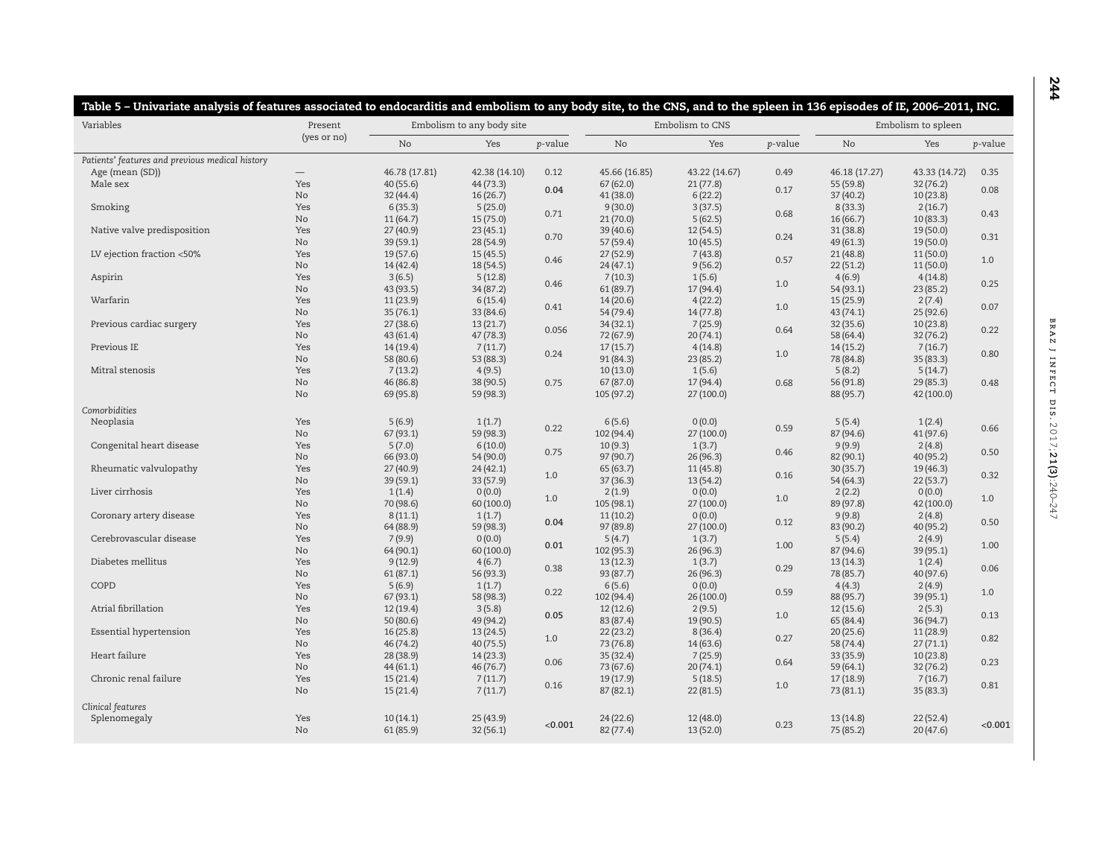<span id="page-4-0"></span>

| Variables                                       | Present     | Embolism to any body site |                       |         | Embolism to CNS       |                     |         | Embolism to spleen   |                       |                 |
|-------------------------------------------------|-------------|---------------------------|-----------------------|---------|-----------------------|---------------------|---------|----------------------|-----------------------|-----------------|
|                                                 | (yes or no) | N <sub>o</sub>            | Yes                   | p-value | N <sub>o</sub>        | Yes                 | p-value | <b>No</b>            | Yes                   | <i>p</i> -value |
| Patients' features and previous medical history |             |                           |                       |         |                       |                     |         |                      |                       |                 |
| Age (mean (SD))                                 |             | 46.78 (17.81)             | 42.38 (14.10)         | 0.12    | 45.66 (16.85)         | 43.22 (14.67)       | 0.49    | 46.18 (17.27)        | 43.33 (14.72)         | 0.35            |
| Male sex                                        | Yes         | 40 (55.6)                 | 44 (73.3)             |         | 67(62.0)              | 21(77.8)            |         | 55 (59.8)            | 32(76.2)              |                 |
|                                                 | No          | 32 (44.4)                 | 16(26.7)              | 0.04    | 41 (38.0)             | 6(22.2)             | 0.17    | 37 (40.2)            | 10(23.8)              | 0.08            |
| Smoking                                         | Yes         | 6(35.3)                   | 5(25.0)               |         | 9(30.0)               | 3(37.5)             |         | 8(33.3)              | 2(16.7)               |                 |
|                                                 | No          | 11(64.7)                  | 15(75.0)              | 0.71    | 21(70.0)              | 5(62.5)             | 0.68    | 16(66.7)             | 10(83.3)              | 0.43            |
| Native valve predisposition                     | Yes         | 27 (40.9)                 | 23(45.1)              |         | 39 (40.6)             | 12(54.5)            |         | 31 (38.8)            | 19 (50.0)             |                 |
|                                                 | No          | 39 (59.1)                 | 28 (54.9)             | 0.70    | 57 (59.4)             | 10(45.5)            | 0.24    | 49(61.3)             | 19 (50.0)             | 0.31            |
| LV ejection fraction <50%                       | Yes         | 19 (57.6)                 | 15(45.5)              |         | 27 (52.9)             | 7(43.8)             |         | 21(48.8)             | 11 (50.0)             |                 |
|                                                 | No          | 14(42.4)                  | 18 (54.5)             | 0.46    | 24(47.1)              | 9(56.2)             | 0.57    | 22(51.2)             | 11(50.0)              | 1.0             |
| Aspirin                                         | Yes         | 3(6.5)                    | 5(12.8)               |         | 7(10.3)               | 1(5.6)              |         | 4(6.9)               | 4(14.8)               |                 |
|                                                 | No          | 43 (93.5)                 | 34(87.2)              | 0.46    | 61(89.7)              | 17 (94.4)           | $1.0\,$ | 54(93.1)             | 23(85.2)              | 0.25            |
| Warfarin                                        | Yes         | 11(23.9)                  | 6(15.4)               |         | 14(20.6)              | 4(22.2)             |         | 15 (25.9)            | 2(7.4)                |                 |
|                                                 | No          |                           |                       | 0.41    |                       |                     | $1.0\,$ |                      |                       | 0.07            |
| Previous cardiac surgery                        | Yes         | 35(76.1)<br>27(38.6)      | 33 (84.6)<br>13(21.7) |         | 54 (79.4)<br>34(32.1) | 14(77.8)<br>7(25.9) |         | 43(74.1)<br>32(35.6) | 25 (92.6)<br>10(23.8) |                 |
|                                                 |             |                           |                       | 0.056   |                       |                     | 0.64    |                      |                       | 0.22            |
|                                                 | No          | 43 (61.4)                 | 47(78.3)              |         | 72 (67.9)             | 20(74.1)            |         | 58 (64.4)            | 32(76.2)              |                 |
| Previous IE                                     | Yes         | 14(19.4)                  | 7(11.7)               | 0.24    | 17(15.7)              | 4(14.8)             | $1.0\,$ | 14(15.2)             | 7(16.7)               | 0.80            |
|                                                 | No          | 58 (80.6)                 | 53 (88.3)             |         | 91 (84.3)             | 23 (85.2)           |         | 78 (84.8)            | 35 (83.3)             |                 |
| Mitral stenosis                                 | Yes         | 7(13.2)                   | 4(9.5)                |         | 10(13.0)              | 1(5.6)              |         | 5(8.2)               | 5(14.7)               |                 |
|                                                 | No          | 46 (86.8)                 | 38 (90.5)             | 0.75    | 67 (87.0)             | 17(94.4)            | 0.68    | 56 (91.8)            | 29 (85.3)             | 0.48            |
|                                                 | No          | 69 (95.8)                 | 59 (98.3)             |         | 105 (97.2)            | 27(100.0)           |         | 88 (95.7)            | 42 (100.0)            |                 |
| Comorbidities                                   |             |                           |                       |         |                       |                     |         |                      |                       |                 |
| Neoplasia                                       | Yes         | 5(6.9)                    | 1(1.7)                |         | 6(5.6)                | 0(0.0)              |         | 5(5.4)               | 1(2.4)                |                 |
|                                                 | No          | 67 (93.1)                 | 59 (98.3)             | 0.22    | 102 (94.4)            | 27 (100.0)          | 0.59    | 87 (94.6)            | 41(97.6)              | 0.66            |
| Congenital heart disease                        | Yes         | 5(7.0)                    | 6(10.0)               |         | 10(9.3)               | 1(3.7)              |         | 9(9.9)               | 2(4.8)                |                 |
|                                                 | No          | 66 (93.0)                 | 54 (90.0)             | 0.75    | 97 (90.7)             | 26(96.3)            | 0.46    | 82 (90.1)            | 40 (95.2)             | 0.50            |
| Rheumatic valvulopathy                          | Yes         | 27(40.9)                  | 24(42.1)              |         | 65 (63.7)             | 11(45.8)            |         | 30 (35.7)            | 19 (46.3)             |                 |
|                                                 | No          | 39 (59.1)                 | 33 (57.9)             | 1.0     | 37(36.3)              | 13(54.2)            | 0.16    | 54 (64.3)            | 22(53.7)              | 0.32            |
| Liver cirrhosis                                 | Yes         | 1(1.4)                    |                       |         |                       | 0(0.0)              |         |                      | 0(0.0)                |                 |
|                                                 |             |                           | 0(0.0)                | 1.0     | 2(1.9)                |                     | 1.0     | 2(2.2)               |                       | 1.0             |
|                                                 | No          | 70 (98.6)                 | 60 (100.0)            |         | 105 (98.1)            | 27 (100.0)          |         | 89 (97.8)            | 42 (100.0)            |                 |
| Coronary artery disease                         | Yes         | 8(11.1)                   | 1(1.7)                | 0.04    | 11(10.2)              | 0(0.0)              | 0.12    | 9(9.8)               | 2(4.8)                | 0.50            |
|                                                 | No          | 64 (88.9)                 | 59 (98.3)             |         | 97 (89.8)             | 27(100.0)           |         | 83 (90.2)            | 40 (95.2)             |                 |
| Cerebrovascular disease                         | Yes         | 7(9.9)                    | 0(0.0)                | 0.01    | 5(4.7)                | 1(3.7)              | 1.00    | 5(5.4)               | 2(4.9)                | 1.00            |
|                                                 | No          | 64 (90.1)                 | 60 (100.0)            |         | 102 (95.3)            | 26(96.3)            |         | 87 (94.6)            | 39 (95.1)             |                 |
| Diabetes mellitus                               | Yes         | 9(12.9)                   | 4(6.7)                | 0.38    | 13(12.3)              | 1(3.7)              | 0.29    | 13(14.3)             | 1(2.4)                | 0.06            |
|                                                 | No          | 61(87.1)                  | 56 (93.3)             |         | 93 (87.7)             | 26(96.3)            |         | 78 (85.7)            | 40 (97.6)             |                 |
| COPD                                            | Yes         | 5(6.9)                    | 1(1.7)                | 0.22    | 6(5.6)                | 0(0.0)              | 0.59    | 4(4.3)               | 2(4.9)                | 1.0             |
|                                                 | No          | 67 (93.1)                 | 58 (98.3)             |         | 102 (94.4)            | 26(100.0)           |         | 88 (95.7)            | 39 (95.1)             |                 |
| Atrial fibrillation                             | Yes         | 12(19.4)                  | 3(5.8)                |         | 12(12.6)              | 2(9.5)              |         | 12(15.6)             | 2(5.3)                |                 |
|                                                 | No          | 50 (80.6)                 | 49 (94.2)             | 0.05    | 83 (87.4)             | 19 (90.5)           | 1.0     | 65 (84.4)            | 36 (94.7)             | 0.13            |
| Essential hypertension                          | Yes         | 16(25.8)                  | 13(24.5)              |         | 22(23.2)              | 8(36.4)             |         | 20(25.6)             | 11 (28.9)             |                 |
|                                                 | No          | 46 (74.2)                 | 40(75.5)              | 1.0     | 73 (76.8)             | 14(63.6)            | 0.27    | 58 (74.4)            | 27(71.1)              | 0.82            |
| Heart failure                                   | Yes         | 28 (38.9)                 | 14(23.3)              |         | 35 (32.4)             | 7(25.9)             |         | 33 (35.9)            | 10(23.8)              |                 |
|                                                 | No          | 44(61.1)                  | 46 (76.7)             | 0.06    | 73 (67.6)             | 20(74.1)            | 0.64    | 59 (64.1)            | 32(76.2)              | 0.23            |
| Chronic renal failure                           | Yes         | 15(21.4)                  | 7(11.7)               |         | 19(17.9)              | 5(18.5)             |         | 17(18.9)             | 7(16.7)               |                 |
|                                                 | No          | 15(21.4)                  | 7(11.7)               | 0.16    | 87 (82.1)             | 22(81.5)            | $1.0\,$ | 73(81.1)             | 35(83.3)              | 0.81            |
|                                                 |             |                           |                       |         |                       |                     |         |                      |                       |                 |
| Clinical features                               |             |                           |                       |         |                       |                     |         |                      |                       |                 |
| Splenomegaly                                    | Yes         | 10(14.1)                  | 25(43.9)              | < 0.001 | 24(22.6)              | 12 (48.0)           | 0.23    | 13 (14.8)            | 22(52.4)              | < 0.001         |
|                                                 | No.         | 61(85.9)                  | 32(56.1)              |         | 82(77.4)              | 13(52.0)            |         | 75 (85.2)            | 20(47.6)              |                 |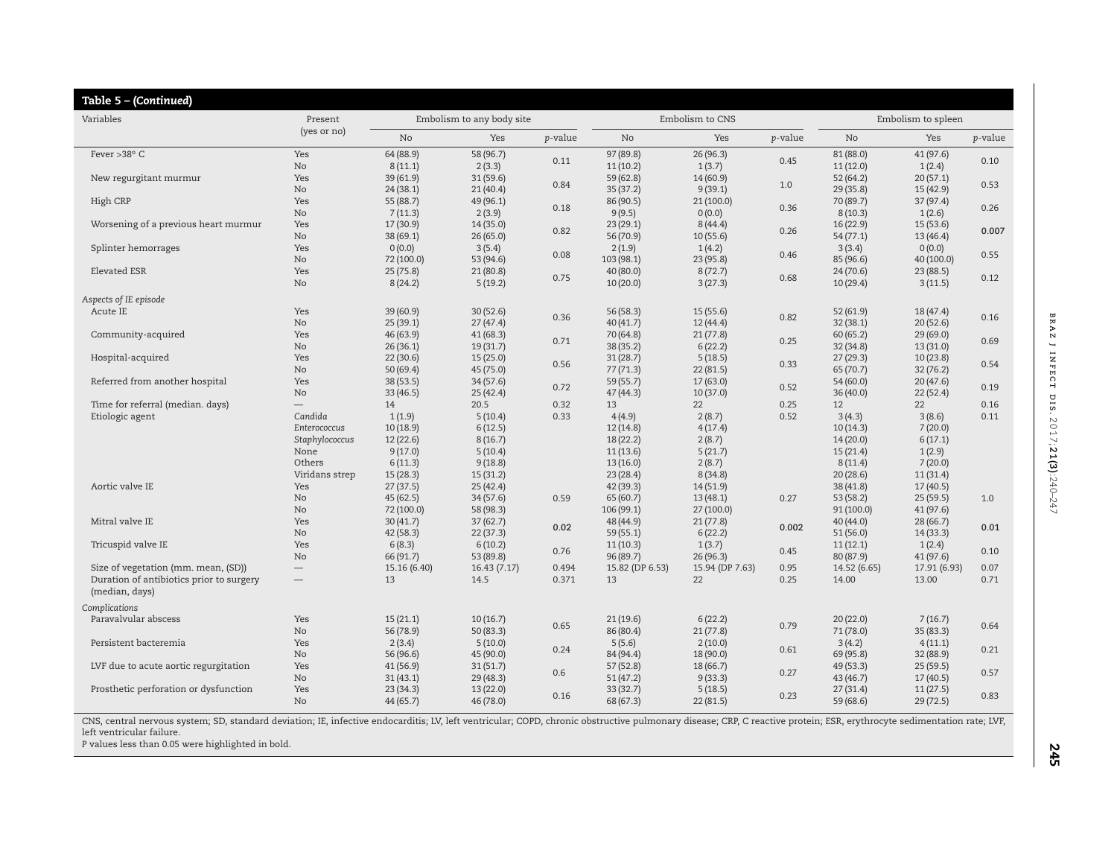| Table 5 - (Continued)                    |                          |                           |             |         |                 |                 |         |                    |              |                 |
|------------------------------------------|--------------------------|---------------------------|-------------|---------|-----------------|-----------------|---------|--------------------|--------------|-----------------|
| Variables                                | Present                  | Embolism to any body site |             |         |                 | Embolism to CNS |         | Embolism to spleen |              |                 |
|                                          | (yes or no)              | No                        | Yes         | p-value | No              | Yes             | p-value | No                 | Yes          | <i>p</i> -value |
| Fever >38° C                             | Yes                      | 64 (88.9)                 | 58 (96.7)   | 0.11    | 97 (89.8)       | 26(96.3)        | 0.45    | 81 (88.0)          | 41(97.6)     | 0.10            |
|                                          | No                       | 8(11.1)                   | 2(3.3)      |         | 11(10.2)        | 1(3.7)          |         | 11(12.0)           | 1(2.4)       |                 |
| New regurgitant murmur                   | Yes                      | 39 (61.9)                 | 31(59.6)    | 0.84    | 59 (62.8)       | 14(60.9)        | 1.0     | 52 (64.2)          | 20(57.1)     | 0.53            |
|                                          | No                       | 24(38.1)                  | 21(40.4)    |         | 35(37.2)        | 9(39.1)         |         | 29 (35.8)          | 15(42.9)     |                 |
| High CRP                                 | Yes                      | 55 (88.7)                 | 49 (96.1)   | 0.18    | 86 (90.5)       | 21(100.0)       | 0.36    | 70 (89.7)          | 37(97.4)     | 0.26            |
|                                          | No                       | 7(11.3)                   | 2(3.9)      |         | 9(9.5)          | 0(0.0)          |         | 8(10.3)            | 1(2.6)       |                 |
| Worsening of a previous heart murmur     | Yes                      | 17 (30.9)                 | 14(35.0)    | 0.82    | 23(29.1)        | 8(44.4)         | 0.26    | 16 (22.9)          | 15(53.6)     | 0.007           |
|                                          | No                       | 38 (69.1)                 | 26(65.0)    |         | 56 (70.9)       | 10(55.6)        |         | 54 (77.1)          | 13(46.4)     |                 |
| Splinter hemorrages                      | Yes                      | 0(0.0)                    | 3(5.4)      | 0.08    | 2(1.9)          | 1(4.2)          | 0.46    | 3(3.4)             | 0(0.0)       | 0.55            |
|                                          | No                       | 72 (100.0)                | 53 (94.6)   |         | 103 (98.1)      | 23(95.8)        |         | 85 (96.6)          | 40 (100.0)   |                 |
| Elevated ESR                             | Yes                      | 25(75.8)                  | 21(80.8)    | 0.75    | 40 (80.0)       | 8(72.7)         | 0.68    | 24(70.6)           | 23(88.5)     | 0.12            |
|                                          | No                       | 8(24.2)                   | 5(19.2)     |         | 10(20.0)        | 3(27.3)         |         | 10 (29.4)          | 3(11.5)      |                 |
| Aspects of IE episode                    |                          |                           |             |         |                 |                 |         |                    |              |                 |
| Acute IE                                 | Yes                      | 39 (60.9)                 | 30(52.6)    |         | 56 (58.3)       | 15(55.6)        |         | 52 (61.9)          | 18(47.4)     |                 |
|                                          | No                       | 25(39.1)                  | 27(47.4)    | 0.36    | 40(41.7)        | 12(44.4)        | 0.82    | 32 (38.1)          | 20(52.6)     | 0.16            |
| Community-acquired                       | Yes                      | 46 (63.9)                 | 41(68.3)    |         | 70 (64.8)       | 21(77.8)        |         | 60 (65.2)          | 29 (69.0)    |                 |
|                                          | No                       | 26(36.1)                  | 19(31.7)    | 0.71    | 38 (35.2)       | 6(22.2)         | 0.25    | 32 (34.8)          | 13(31.0)     | 0.69            |
| Hospital-acquired                        | Yes                      | 22(30.6)                  | 15(25.0)    |         | 31(28.7)        | 5(18.5)         |         | 27 (29.3)          | 10(23.8)     |                 |
|                                          |                          |                           |             | 0.56    |                 |                 | 0.33    |                    |              | 0.54            |
|                                          | No                       | 50(69.4)                  | 45(75.0)    |         | 77(71.3)        | 22(81.5)        |         | 65 (70.7)          | 32(76.2)     |                 |
| Referred from another hospital           | Yes                      | 38 (53.5)                 | 34(57.6)    | 0.72    | 59 (55.7)       | 17(63.0)        | 0.52    | 54 (60.0)          | 20(47.6)     | 0.19            |
|                                          | No                       | 33(46.5)                  | 25(42.4)    |         | 47(44.3)        | 10(37.0)        |         | 36 (40.0)          | 22(52.4)     |                 |
| Time for referral (median. days)         | $\overline{\phantom{0}}$ | 14                        | 20.5        | 0.32    | 13              | 22              | 0.25    | 12                 | 22           | 0.16            |
| Etiologic agent                          | Candida                  | 1(1.9)                    | 5(10.4)     | 0.33    | 4(4.9)          | 2(8.7)          | 0.52    | 3(4.3)             | 3(8.6)       | 0.11            |
|                                          | Enterococcus             | 10(18.9)                  | 6(12.5)     |         | 12(14.8)        | 4(17.4)         |         | 10(14.3)           | 7(20.0)      |                 |
|                                          | Staphylococcus           | 12(22.6)                  | 8(16.7)     |         | 18 (22.2)       | 2(8.7)          |         | 14(20.0)           | 6(17.1)      |                 |
|                                          | None                     | 9(17.0)                   | 5(10.4)     |         | 11(13.6)        | 5(21.7)         |         | 15(21.4)           | 1(2.9)       |                 |
|                                          | Others                   | 6(11.3)                   | 9(18.8)     |         | 13(16.0)        | 2(8.7)          |         | 8(11.4)            | 7(20.0)      |                 |
|                                          | Viridans strep           | 15(28.3)                  | 15(31.2)    |         | 23(28.4)        | 8(34.8)         |         | 20(28.6)           | 11(31.4)     |                 |
| Aortic valve IE                          | Yes                      | 27(37.5)                  | 25(42.4)    |         | 42 (39.3)       | 14(51.9)        |         | 38 (41.8)          | 17(40.5)     |                 |
|                                          | No                       | 45(62.5)                  | 34(57.6)    | 0.59    | 65 (60.7)       | 13(48.1)        | 0.27    | 53 (58.2)          | 25(59.5)     | 1.0             |
|                                          | No                       | 72 (100.0)                | 58 (98.3)   |         | 106 (99.1)      | 27(100.0)       |         | 91 (100.0)         | 41(97.6)     |                 |
| Mitral valve IE                          | Yes                      | 30(41.7)                  | 37(62.7)    | 0.02    | 48 (44.9)       | 21(77.8)        | 0.002   | 40 (44.0)          | 28(66.7)     | 0.01            |
|                                          | No                       | 42 (58.3)                 | 22(37.3)    |         | 59 (55.1)       | 6(22.2)         |         | 51(56.0)           | 14(33.3)     |                 |
| Tricuspid valve IE                       | Yes                      | 6(8.3)                    | 6(10.2)     | 0.76    | 11(10.3)        | 1(3.7)          | 0.45    | 11(12.1)           | 1(2.4)       | 0.10            |
|                                          | No                       | 66 (91.7)                 | 53 (89.8)   |         | 96 (89.7)       | 26(96.3)        |         | 80 (87.9)          | 41(97.6)     |                 |
| Size of vegetation (mm. mean, (SD))      |                          | 15.16 (6.40)              | 16.43(7.17) | 0.494   | 15.82 (DP 6.53) | 15.94 (DP 7.63) | 0.95    | 14.52 (6.65)       | 17.91 (6.93) | 0.07            |
| Duration of antibiotics prior to surgery |                          | 13                        | 14.5        | 0.371   | 13              | 22              | 0.25    | 14.00              | 13.00        | 0.71            |
| (median, days)                           |                          |                           |             |         |                 |                 |         |                    |              |                 |
| Complications                            |                          |                           |             |         |                 |                 |         |                    |              |                 |
| Paravalvular abscess                     | Yes                      | 15(21.1)                  | 10(16.7)    |         | 21(19.6)        | 6(22.2)         |         | 20(22.0)           | 7(16.7)      |                 |
|                                          | No                       | 56 (78.9)                 | 50(83.3)    | 0.65    | 86 (80.4)       | 21(77.8)        | 0.79    | 71 (78.0)          | 35(83.3)     | 0.64            |
| Persistent bacteremia                    | Yes                      |                           | 5(10.0)     |         |                 |                 |         |                    |              |                 |
|                                          |                          | 2(3.4)                    |             | 0.24    | 5(5.6)          | 2(10.0)         | 0.61    | 3(4.2)             | 4(11.1)      | 0.21            |
|                                          | No                       | 56 (96.6)                 | 45 (90.0)   |         | 84 (94.4)       | 18 (90.0)       |         | 69 (95.8)          | 32(88.9)     |                 |
| LVF due to acute aortic regurgitation    | Yes                      | 41 (56.9)                 | 31(51.7)    | 0.6     | 57 (52.8)       | 18(66.7)        | 0.27    | 49 (53.3)          | 25(59.5)     | 0.57            |
|                                          | No                       | 31(43.1)                  | 29(48.3)    |         | 51(47.2)        | 9(33.3)         |         | 43 (46.7)          | 17(40.5)     |                 |
| Prosthetic perforation or dysfunction    | Yes                      | 23(34.3)                  | 13(22.0)    | 0.16    | 33(32.7)        | 5(18.5)         | 0.23    | 27(31.4)           | 11(27.5)     | 0.83            |
|                                          | No                       | 44(65.7)                  | 46(78.0)    |         | 68 (67.3)       | 22(81.5)        |         | 59 (68.6)          | 29(72.5)     |                 |

CNS, central nervous system; SD, standard deviation; IE, infective endocarditis; LV, left ventricular; COPD, chronic obstructive pulmonary disease; CRP, <sup>C</sup> reactive protein; ESR, erythrocyte sedimentation rate; LVF, left ventricular failure.

*P* values less than 0.05 were highlighted in bold.

**245**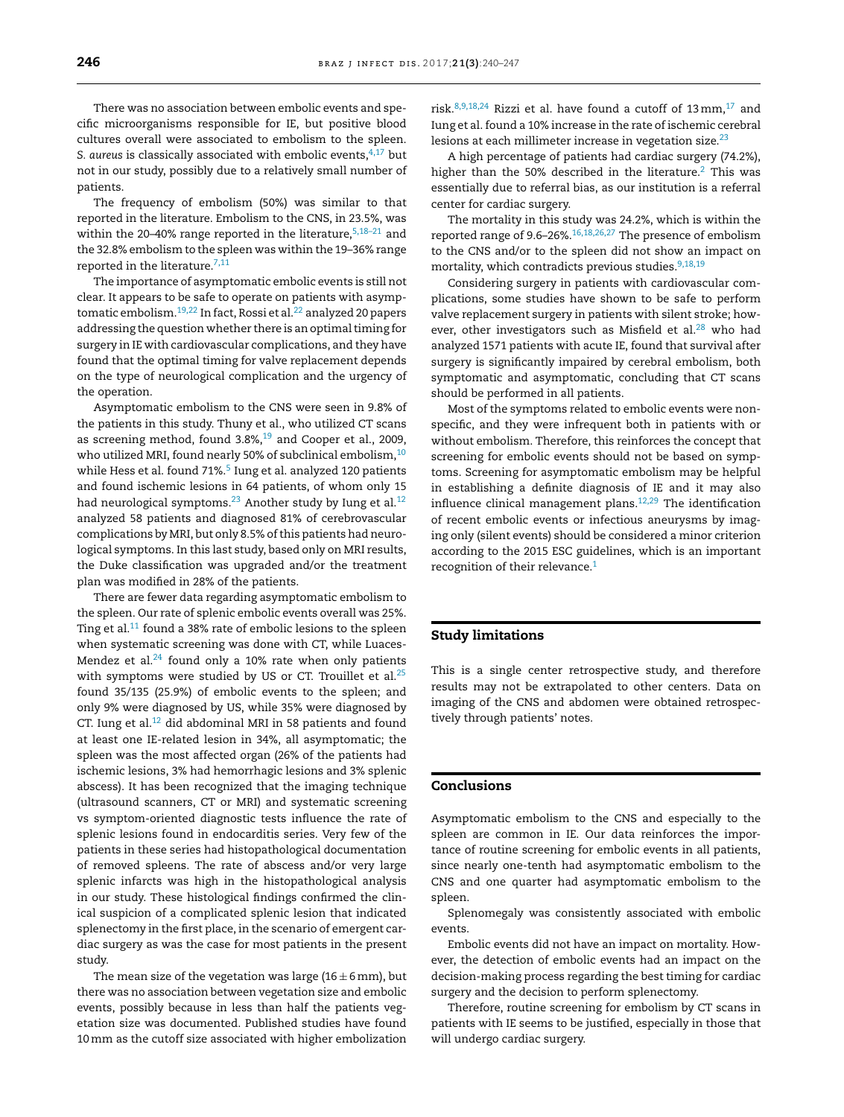There was no association between embolic events and specific microorganisms responsible for IE, but positive blood cultures overall were associated to embolism to the spleen. S. *aureus* is classically associated with embolic events,<sup>[4,17](#page-7-0)</sup> but not in our study, possibly due to a relatively small number of patients.

The frequency of embolism (50%) was similar to that reported in the literature. Embolism to the CNS, in 23.5%, was within the 20–40% range reported in the literature,  $5,18-21$  and the 32.8% embolism to the spleen was within the 19–36% range reported in the literature.<sup>7,11</sup>

The importance of asymptomatic embolic events is still not clear. It appears to be safe to operate on patients with asymp-tomatic embolism.<sup>[19,22](#page-7-0)</sup> In fact, Rossi et al.<sup>[22](#page-7-0)</sup> analyzed 20 papers addressing the question whether there is an optimal timing for surgery in IE with cardiovascular complications, and they have found that the optimal timing for valve replacement depends on the type of neurological complication and the urgency of the operation.

Asymptomatic embolism to the CNS were seen in 9.8% of the patients in this study. Thuny et al., who utilized CT scans as screening method, found 3.8%,<sup>19</sup> and Cooper et al., 2009, who utilized MRI, found nearly 50% of subclinical embolism,  $10$ while Hess et al. found 71%.<sup>[5](#page-7-0)</sup> Iung et al. analyzed 120 patients and found ischemic lesions in 64 patients, of whom only 15 had neurological symptoms.<sup>23</sup> Another study by Iung et al.<sup>12</sup> analyzed 58 patients and diagnosed 81% of cerebrovascular complications by MRI, but only 8.5% of this patients had neurological symptoms. In this last study, based only on MRI results, the Duke classification was upgraded and/or the treatment plan was modified in 28% of the patients.

There are fewer data regarding asymptomatic embolism to the spleen. Our rate of splenic embolic events overall was 25%. Ting et al. $11$  found a 38% rate of embolic lesions to the spleen when systematic screening was done with CT, while Luaces-Mendez et al. $24$  found only a 10% rate when only patients with symptoms were studied by US or CT. Trouillet et al. $25$ found 35/135 (25.9%) of embolic events to the spleen; and only 9% were diagnosed by US, while 35% were diagnosed by CT. Iung et al. $12$  did abdominal MRI in 58 patients and found at least one IE-related lesion in 34%, all asymptomatic; the spleen was the most affected organ (26% of the patients had ischemic lesions, 3% had hemorrhagic lesions and 3% splenic abscess). It has been recognized that the imaging technique (ultrasound scanners, CT or MRI) and systematic screening vs symptom-oriented diagnostic tests influence the rate of splenic lesions found in endocarditis series. Very few of the patients in these series had histopathological documentation of removed spleens. The rate of abscess and/or very large splenic infarcts was high in the histopathological analysis in our study. These histological findings confirmed the clinical suspicion of a complicated splenic lesion that indicated splenectomy in the first place, in the scenario of emergent cardiac surgery as was the case for most patients in the present study.

The mean size of the vegetation was large (16 $\pm$ 6 mm), but there was no association between vegetation size and embolic events, possibly because in less than half the patients vegetation size was documented. Published studies have found 10mm as the cutoff size associated with higher embolization

risk. $8,9,18,24$  Rizzi et al. have found a cutoff of 13 mm, <sup>[17](#page-7-0)</sup> and Iung et al. found a 10% increase in the rate of ischemic cerebral lesions at each millimeter increase in vegetation size.<sup>23</sup>

A high percentage of patients had cardiac surgery (74.2%), higher than the 50% described in the literature.<sup>[2](#page-7-0)</sup> This was essentially due to referral bias, as our institution is a referral center for cardiac surgery.

The mortality in this study was 24.2%, which is within the reported range of 9.6–26%. $16,18,26,27$  The presence of embolism to the CNS and/or to the spleen did not show an impact on mortality, which contradicts previous studies.<sup>9,18,19</sup>

Considering surgery in patients with cardiovascular complications, some studies have shown to be safe to perform valve replacement surgery in patients with silent stroke; how-ever, other investigators such as Misfield et al.<sup>[28](#page-7-0)</sup> who had analyzed 1571 patients with acute IE, found that survival after surgery is significantly impaired by cerebral embolism, both symptomatic and asymptomatic, concluding that CT scans should be performed in all patients.

Most of the symptoms related to embolic events were nonspecific, and they were infrequent both in patients with or without embolism. Therefore, this reinforces the concept that screening for embolic events should not be based on symptoms. Screening for asymptomatic embolism may be helpful in establishing a definite diagnosis of IE and it may also influence clinical management plans[.12,29](#page-7-0) The identification of recent embolic events or infectious aneurysms by imaging only (silent events) should be considered a minor criterion according to the 2015 ESC guidelines, which is an important recognition of their relevance.<sup>1</sup>

## **Study limitations**

This is a single center retrospective study, and therefore results may not be extrapolated to other centers. Data on imaging of the CNS and abdomen were obtained retrospectively through patients' notes.

# **Conclusions**

Asymptomatic embolism to the CNS and especially to the spleen are common in IE. Our data reinforces the importance of routine screening for embolic events in all patients, since nearly one-tenth had asymptomatic embolism to the CNS and one quarter had asymptomatic embolism to the spleen.

Splenomegaly was consistently associated with embolic events.

Embolic events did not have an impact on mortality. However, the detection of embolic events had an impact on the decision-making process regarding the best timing for cardiac surgery and the decision to perform splenectomy.

Therefore, routine screening for embolism by CT scans in patients with IE seems to be justified, especially in those that will undergo cardiac surgery.